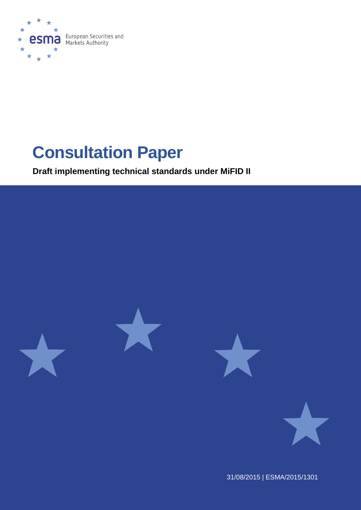

# **Consultation Paper**

**Draft implementing technical standards under MiFID II**



31/08/2015 | ESMA/2015/1301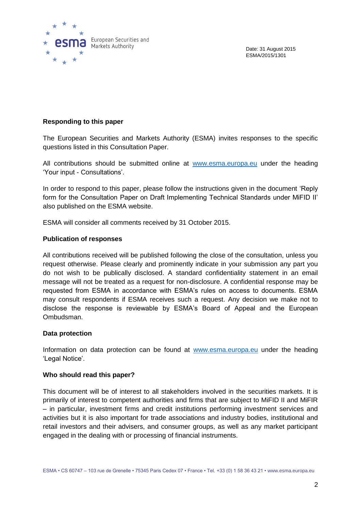

Date: 31 August 2015 ESMA/2015/1301

# **Responding to this paper**

The European Securities and Markets Authority (ESMA) invites responses to the specific questions listed in this Consultation Paper.

All contributions should be submitted online at [www.esma.europa.eu](http://www.esma.europa.eu/) under the heading 'Your input - Consultations'.

In order to respond to this paper, please follow the instructions given in the document 'Reply form for the Consultation Paper on Draft Implementing Technical Standards under MiFID II' also published on the ESMA website.

ESMA will consider all comments received by 31 October 2015.

#### **Publication of responses**

All contributions received will be published following the close of the consultation, unless you request otherwise. Please clearly and prominently indicate in your submission any part you do not wish to be publically disclosed. A standard confidentiality statement in an email message will not be treated as a request for non-disclosure. A confidential response may be requested from ESMA in accordance with ESMA's rules on access to documents. ESMA may consult respondents if ESMA receives such a request. Any decision we make not to disclose the response is reviewable by ESMA's Board of Appeal and the European Ombudsman.

#### **Data protection**

Information on data protection can be found at [www.esma.europa.eu](http://www.esma.europa.eu/) under the heading 'Legal Notice'.

#### **Who should read this paper?**

This document will be of interest to all stakeholders involved in the securities markets. It is primarily of interest to competent authorities and firms that are subject to MiFID II and MiFIR – in particular, investment firms and credit institutions performing investment services and activities but it is also important for trade associations and industry bodies, institutional and retail investors and their advisers, and consumer groups, as well as any market participant engaged in the dealing with or processing of financial instruments.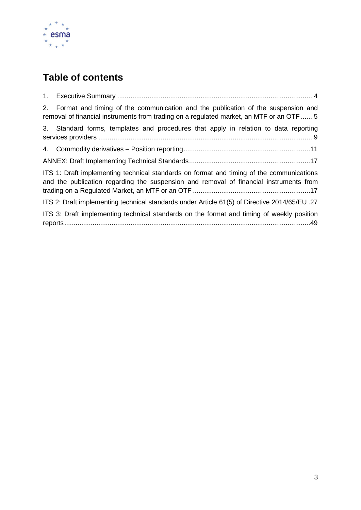

# **Table of contents**

| 2. Format and timing of the communication and the publication of the suspension and<br>removal of financial instruments from trading on a regulated market, an MTF or an OTF  5    |
|------------------------------------------------------------------------------------------------------------------------------------------------------------------------------------|
| 3. Standard forms, templates and procedures that apply in relation to data reporting                                                                                               |
|                                                                                                                                                                                    |
|                                                                                                                                                                                    |
| ITS 1: Draft implementing technical standards on format and timing of the communications<br>and the publication regarding the suspension and removal of financial instruments from |
| 127. ITS 2: Draft implementing technical standards under Article 61(5) of Directive 2014/65/EU                                                                                     |
| ITS 3: Draft implementing technical standards on the format and timing of weekly position                                                                                          |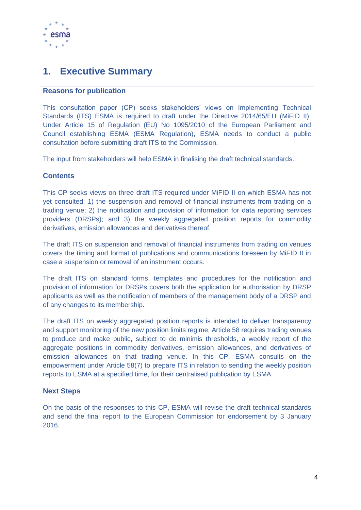

# <span id="page-3-0"></span>**1. Executive Summary**

#### **Reasons for publication**

This consultation paper (CP) seeks stakeholders' views on Implementing Technical Standards (ITS) ESMA is required to draft under the Directive 2014/65/EU (MiFID II). Under Article 15 of Regulation (EU) No 1095/2010 of the European Parliament and Council establishing ESMA (ESMA Regulation), ESMA needs to conduct a public consultation before submitting draft ITS to the Commission.

The input from stakeholders will help ESMA in finalising the draft technical standards.

# **Contents**

This CP seeks views on three draft ITS required under MiFID II on which ESMA has not yet consulted: 1) the suspension and removal of financial instruments from trading on a trading venue; 2) the notification and provision of information for data reporting services providers (DRSPs); and 3) the weekly aggregated position reports for commodity derivatives, emission allowances and derivatives thereof.

The draft ITS on suspension and removal of financial instruments from trading on venues covers the timing and format of publications and communications foreseen by MiFID II in case a suspension or removal of an instrument occurs.

The draft ITS on standard forms, templates and procedures for the notification and provision of information for DRSPs covers both the application for authorisation by DRSP applicants as well as the notification of members of the management body of a DRSP and of any changes to its membership.

The draft ITS on weekly aggregated position reports is intended to deliver transparency and support monitoring of the new position limits regime. Article 58 requires trading venues to produce and make public, subject to de minimis thresholds, a weekly report of the aggregate positions in commodity derivatives, emission allowances, and derivatives of emission allowances on that trading venue. In this CP, ESMA consults on the empowerment under Article 58(7) to prepare ITS in relation to sending the weekly position reports to ESMA at a specified time, for their centralised publication by ESMA.

# **Next Steps**

On the basis of the responses to this CP, ESMA will revise the draft technical standards and send the final report to the European Commission for endorsement by 3 January 2016.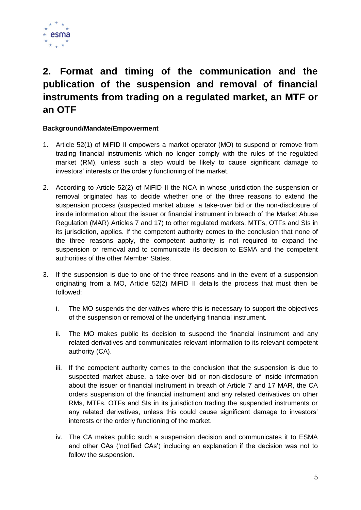

# <span id="page-4-0"></span>**2. Format and timing of the communication and the publication of the suspension and removal of financial instruments from trading on a regulated market, an MTF or an OTF**

#### **Background/Mandate/Empowerment**

- 1. Article 52(1) of MiFID II empowers a market operator (MO) to suspend or remove from trading financial instruments which no longer comply with the rules of the regulated market (RM), unless such a step would be likely to cause significant damage to investors' interests or the orderly functioning of the market.
- 2. According to Article 52(2) of MiFID II the NCA in whose jurisdiction the suspension or removal originated has to decide whether one of the three reasons to extend the suspension process (suspected market abuse, a take-over bid or the non-disclosure of inside information about the issuer or financial instrument in breach of the Market Abuse Regulation (MAR) Articles 7 and 17) to other regulated markets, MTFs, OTFs and SIs in its jurisdiction, applies. If the competent authority comes to the conclusion that none of the three reasons apply, the competent authority is not required to expand the suspension or removal and to communicate its decision to ESMA and the competent authorities of the other Member States.
- 3. If the suspension is due to one of the three reasons and in the event of a suspension originating from a MO, Article 52(2) MiFID II details the process that must then be followed:
	- i. The MO suspends the derivatives where this is necessary to support the objectives of the suspension or removal of the underlying financial instrument.
	- ii. The MO makes public its decision to suspend the financial instrument and any related derivatives and communicates relevant information to its relevant competent authority (CA).
	- iii. If the competent authority comes to the conclusion that the suspension is due to suspected market abuse, a take-over bid or non-disclosure of inside information about the issuer or financial instrument in breach of Article 7 and 17 MAR, the CA orders suspension of the financial instrument and any related derivatives on other RMs, MTFs, OTFs and SIs in its jurisdiction trading the suspended instruments or any related derivatives, unless this could cause significant damage to investors' interests or the orderly functioning of the market.
	- iv. The CA makes public such a suspension decision and communicates it to ESMA and other CAs ('notified CAs') including an explanation if the decision was not to follow the suspension.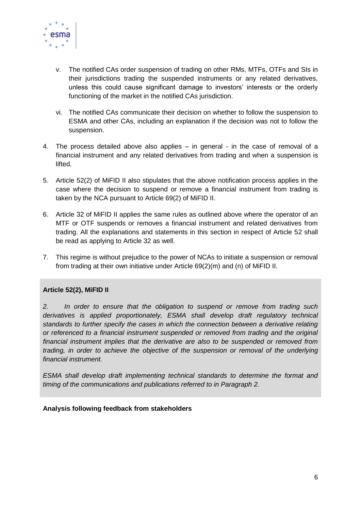

- v. The notified CAs order suspension of trading on other RMs, MTFs, OTFs and SIs in their jurisdictions trading the suspended instruments or any related derivatives, unless this could cause significant damage to investors' interests or the orderly functioning of the market in the notified CAs jurisdiction.
- vi. The notified CAs communicate their decision on whether to follow the suspension to ESMA and other CAs, including an explanation if the decision was not to follow the suspension.
- 4. The process detailed above also applies in general in the case of removal of a financial instrument and any related derivatives from trading and when a suspension is lifted.
- 5. Article 52(2) of MiFID II also stipulates that the above notification process applies in the case where the decision to suspend or remove a financial instrument from trading is taken by the NCA pursuant to Article 69(2) of MiFID II.
- 6. Article 32 of MiFID II applies the same rules as outlined above where the operator of an MTF or OTF suspends or removes a financial instrument and related derivatives from trading. All the explanations and statements in this section in respect of Article 52 shall be read as applying to Article 32 as well.
- 7. This regime is without prejudice to the power of NCAs to initiate a suspension or removal from trading at their own initiative under Article 69(2)(m) and (n) of MiFID II.

# **Article 52(2), MiFID II**

*2. In order to ensure that the obligation to suspend or remove from trading such derivatives is applied proportionately, ESMA shall develop draft regulatory technical standards to further specify the cases in which the connection between a derivative relating or referenced to a financial instrument suspended or removed from trading and the original financial instrument implies that the derivative are also to be suspended or removed from trading, in order to achieve the objective of the suspension or removal of the underlying financial instrument.* 

*ESMA shall develop draft implementing technical standards to determine the format and timing of the communications and publications referred to in Paragraph 2.*

#### **Analysis following feedback from stakeholders**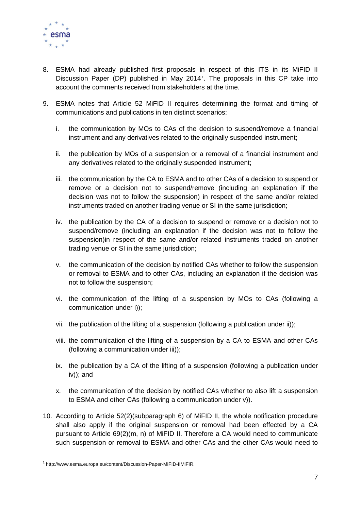

- 8. ESMA had already published first proposals in respect of this ITS in its MiFID II Discussion Paper (DP) published in May 2014<sup>1</sup>. The proposals in this CP take into account the comments received from stakeholders at the time.
- 9. ESMA notes that Article 52 MiFID II requires determining the format and timing of communications and publications in ten distinct scenarios:
	- i. the communication by MOs to CAs of the decision to suspend/remove a financial instrument and any derivatives related to the originally suspended instrument;
	- ii. the publication by MOs of a suspension or a removal of a financial instrument and any derivatives related to the originally suspended instrument;
	- iii. the communication by the CA to ESMA and to other CAs of a decision to suspend or remove or a decision not to suspend/remove (including an explanation if the decision was not to follow the suspension) in respect of the same and/or related instruments traded on another trading venue or SI in the same jurisdiction;
	- iv. the publication by the CA of a decision to suspend or remove or a decision not to suspend/remove (including an explanation if the decision was not to follow the suspension)in respect of the same and/or related instruments traded on another trading venue or SI in the same jurisdiction;
	- v. the communication of the decision by notified CAs whether to follow the suspension or removal to ESMA and to other CAs, including an explanation if the decision was not to follow the suspension;
	- vi. the communication of the lifting of a suspension by MOs to CAs (following a communication under i));
	- vii. the publication of the lifting of a suspension (following a publication under ii));
	- viii. the communication of the lifting of a suspension by a CA to ESMA and other CAs (following a communication under iii));
	- ix. the publication by a CA of the lifting of a suspension (following a publication under iv)); and
	- x. the communication of the decision by notified CAs whether to also lift a suspension to ESMA and other CAs (following a communication under v)).
- 10. According to Article 52(2)(subparagraph 6) of MiFID II, the whole notification procedure shall also apply if the original suspension or removal had been effected by a CA pursuant to Article 69(2)(m, n) of MiFID II. Therefore a CA would need to communicate such suspension or removal to ESMA and other CAs and the other CAs would need to

-

<sup>&</sup>lt;sup>1</sup> http://www.esma.europa.eu/content/Discussion-Paper-MiFID-IIMiFIR.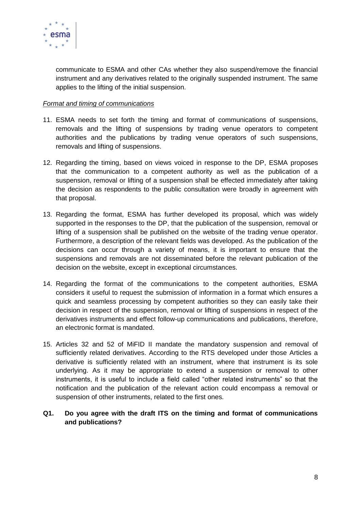

communicate to ESMA and other CAs whether they also suspend/remove the financial instrument and any derivatives related to the originally suspended instrument. The same applies to the lifting of the initial suspension.

#### *Format and timing of communications*

- 11. ESMA needs to set forth the timing and format of communications of suspensions, removals and the lifting of suspensions by trading venue operators to competent authorities and the publications by trading venue operators of such suspensions, removals and lifting of suspensions.
- 12. Regarding the timing, based on views voiced in response to the DP, ESMA proposes that the communication to a competent authority as well as the publication of a suspension, removal or lifting of a suspension shall be effected immediately after taking the decision as respondents to the public consultation were broadly in agreement with that proposal.
- 13. Regarding the format, ESMA has further developed its proposal, which was widely supported in the responses to the DP, that the publication of the suspension, removal or lifting of a suspension shall be published on the website of the trading venue operator. Furthermore, a description of the relevant fields was developed. As the publication of the decisions can occur through a variety of means, it is important to ensure that the suspensions and removals are not disseminated before the relevant publication of the decision on the website, except in exceptional circumstances.
- 14. Regarding the format of the communications to the competent authorities, ESMA considers it useful to request the submission of information in a format which ensures a quick and seamless processing by competent authorities so they can easily take their decision in respect of the suspension, removal or lifting of suspensions in respect of the derivatives instruments and effect follow-up communications and publications, therefore, an electronic format is mandated.
- 15. Articles 32 and 52 of MiFID II mandate the mandatory suspension and removal of sufficiently related derivatives. According to the RTS developed under those Articles a derivative is sufficiently related with an instrument, where that instrument is its sole underlying. As it may be appropriate to extend a suspension or removal to other instruments, it is useful to include a field called "other related instruments" so that the notification and the publication of the relevant action could encompass a removal or suspension of other instruments, related to the first ones.

# **Q1. Do you agree with the draft ITS on the timing and format of communications and publications?**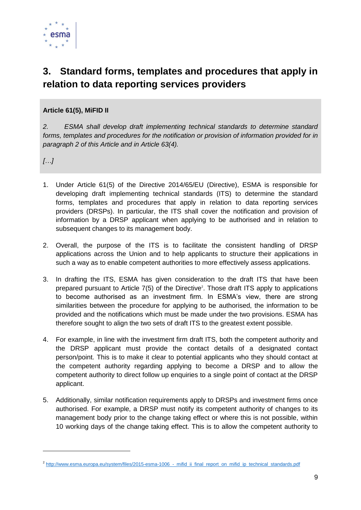

# <span id="page-8-0"></span>**3. Standard forms, templates and procedures that apply in relation to data reporting services providers**

# **Article 61(5), MiFID II**

*2. ESMA shall develop draft implementing technical standards to determine standard forms, templates and procedures for the notification or provision of information provided for in paragraph 2 of this Article and in Article 63(4).*

*[…]*

-

- 1. Under Article 61(5) of the Directive 2014/65/EU (Directive), ESMA is responsible for developing draft implementing technical standards (ITS) to determine the standard forms, templates and procedures that apply in relation to data reporting services providers (DRSPs). In particular, the ITS shall cover the notification and provision of information by a DRSP applicant when applying to be authorised and in relation to subsequent changes to its management body.
- 2. Overall, the purpose of the ITS is to facilitate the consistent handling of DRSP applications across the Union and to help applicants to structure their applications in such a way as to enable competent authorities to more effectively assess applications.
- 3. In drafting the ITS, ESMA has given consideration to the draft ITS that have been prepared pursuant to Article 7(5) of the Directive<sup>2</sup>. Those draft ITS apply to applications to become authorised as an investment firm. In ESMA's view, there are strong similarities between the procedure for applying to be authorised, the information to be provided and the notifications which must be made under the two provisions. ESMA has therefore sought to align the two sets of draft ITS to the greatest extent possible.
- 4. For example, in line with the investment firm draft ITS, both the competent authority and the DRSP applicant must provide the contact details of a designated contact person/point. This is to make it clear to potential applicants who they should contact at the competent authority regarding applying to become a DRSP and to allow the competent authority to direct follow up enquiries to a single point of contact at the DRSP applicant.
- 5. Additionally, similar notification requirements apply to DRSPs and investment firms once authorised. For example, a DRSP must notify its competent authority of changes to its management body prior to the change taking effect or where this is not possible, within 10 working days of the change taking effect. This is to allow the competent authority to

<sup>&</sup>lt;sup>2</sup> http://www.esma.europa.eu/system/files/2015-esma-1006 - mifid\_ii\_final\_report\_on\_mifid\_ip\_technical\_standards.pdf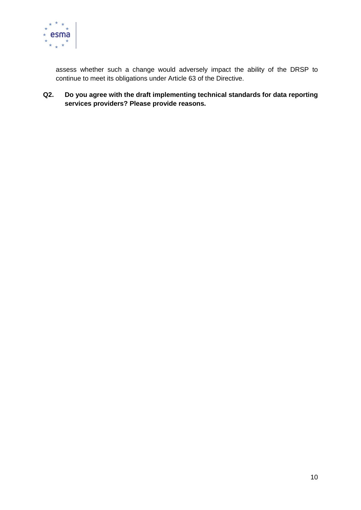

assess whether such a change would adversely impact the ability of the DRSP to continue to meet its obligations under Article 63 of the Directive.

**Q2. Do you agree with the draft implementing technical standards for data reporting services providers? Please provide reasons.**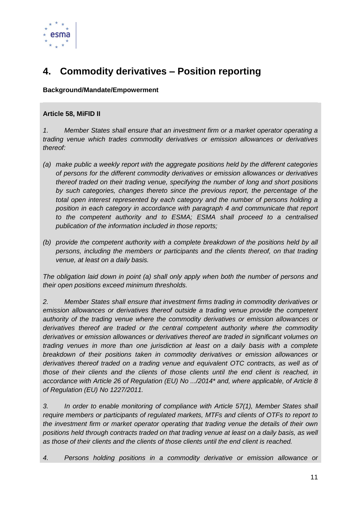

# <span id="page-10-0"></span>**4. Commodity derivatives – Position reporting**

#### **Background/Mandate/Empowerment**

# **Article 58, MiFID II**

*1. Member States shall ensure that an investment firm or a market operator operating a trading venue which trades commodity derivatives or emission allowances or derivatives thereof:*

- *(a) make public a weekly report with the aggregate positions held by the different categories of persons for the different commodity derivatives or emission allowances or derivatives thereof traded on their trading venue, specifying the number of long and short positions by such categories, changes thereto since the previous report, the percentage of the total open interest represented by each category and the number of persons holding a position in each category in accordance with paragraph 4 and communicate that report to the competent authority and to ESMA; ESMA shall proceed to a centralised publication of the information included in those reports;*
- *(b) provide the competent authority with a complete breakdown of the positions held by all persons, including the members or participants and the clients thereof, on that trading venue, at least on a daily basis.*

*The obligation laid down in point (a) shall only apply when both the number of persons and their open positions exceed minimum thresholds.*

*2. Member States shall ensure that investment firms trading in commodity derivatives or emission allowances or derivatives thereof outside a trading venue provide the competent authority of the trading venue where the commodity derivatives or emission allowances or derivatives thereof are traded or the central competent authority where the commodity derivatives or emission allowances or derivatives thereof are traded in significant volumes on trading venues in more than one jurisdiction at least on a daily basis with a complete breakdown of their positions taken in commodity derivatives or emission allowances or derivatives thereof traded on a trading venue and equivalent OTC contracts, as well as of those of their clients and the clients of those clients until the end client is reached, in accordance with Article 26 of Regulation (EU) No .../2014\* and, where applicable, of Article 8 of Regulation (EU) No 1227/2011.* 

*3. In order to enable monitoring of compliance with Article 57(1), Member States shall require members or participants of regulated markets, MTFs and clients of OTFs to report to the investment firm or market operator operating that trading venue the details of their own positions held through contracts traded on that trading venue at least on a daily basis, as well as those of their clients and the clients of those clients until the end client is reached.*

*4. Persons holding positions in a commodity derivative or emission allowance or*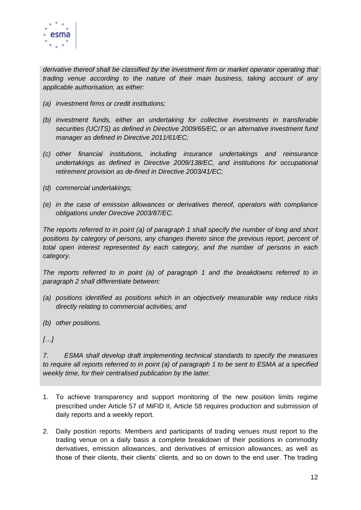

*derivative thereof shall be classified by the investment firm or market operator operating that trading venue according to the nature of their main business, taking account of any applicable authorisation, as either:*

- *(a) investment firms or credit institutions;*
- *(b) investment funds, either an undertaking for collective investments in transferable securities (UCITS) as defined in Directive 2009/65/EC, or an alternative investment fund manager as defined in Directive 2011/61/EC;*
- *(c) other financial institutions, including insurance undertakings and reinsurance undertakings as defined in Directive 2009/138/EC, and institutions for occupational retirement provision as de-fined in Directive 2003/41/EC;*
- *(d) commercial undertakings;*
- *(e) in the case of emission allowances or derivatives thereof, operators with compliance obligations under Directive 2003/87/EC.*

*The reports referred to in point (a) of paragraph 1 shall specify the number of long and short positions by category of persons, any changes thereto since the previous report, percent of total open interest represented by each category, and the number of persons in each category.*

*The reports referred to in point (a) of paragraph 1 and the breakdowns referred to in paragraph 2 shall differentiate between:*

- *(a) positions identified as positions which in an objectively measurable way reduce risks directly relating to commercial activities; and*
- *(b) other positions.*

*[…]*

*7. ESMA shall develop draft implementing technical standards to specify the measures to require all reports referred to in point (a) of paragraph 1 to be sent to ESMA at a specified weekly time, for their centralised publication by the latter.*

- 1. To achieve transparency and support monitoring of the new position limits regime prescribed under Article 57 of MiFID II, Article 58 requires production and submission of daily reports and a weekly report.
- 2. Daily position reports: Members and participants of trading venues must report to the trading venue on a daily basis a complete breakdown of their positions in commodity derivatives, emission allowances, and derivatives of emission allowances, as well as those of their clients, their clients' clients, and so on down to the end user. The trading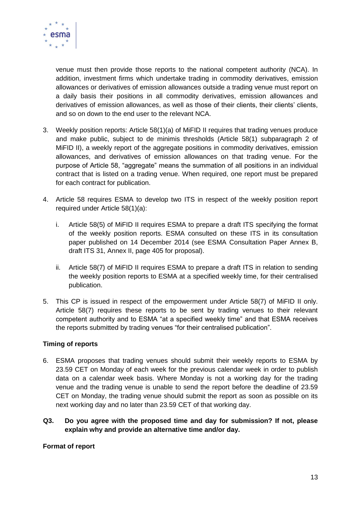

venue must then provide those reports to the national competent authority (NCA). In addition, investment firms which undertake trading in commodity derivatives, emission allowances or derivatives of emission allowances outside a trading venue must report on a daily basis their positions in all commodity derivatives, emission allowances and derivatives of emission allowances, as well as those of their clients, their clients' clients, and so on down to the end user to the relevant NCA.

- 3. Weekly position reports: Article 58(1)(a) of MiFID II requires that trading venues produce and make public, subject to de minimis thresholds (Article 58(1) subparagraph 2 of MiFID II), a weekly report of the aggregate positions in commodity derivatives, emission allowances, and derivatives of emission allowances on that trading venue. For the purpose of Article 58, "aggregate" means the summation of all positions in an individual contract that is listed on a trading venue. When required, one report must be prepared for each contract for publication.
- 4. Article 58 requires ESMA to develop two ITS in respect of the weekly position report required under Article 58(1)(a):
	- i. Article 58(5) of MiFID II requires ESMA to prepare a draft ITS specifying the format of the weekly position reports. ESMA consulted on these ITS in its consultation paper published on 14 December 2014 (see ESMA Consultation Paper Annex B, draft ITS 31, Annex II, page 405 for proposal).
	- ii. Article 58(7) of MiFID II requires ESMA to prepare a draft ITS in relation to sending the weekly position reports to ESMA at a specified weekly time, for their centralised publication.
- 5. This CP is issued in respect of the empowerment under Article 58(7) of MiFID II only. Article 58(7) requires these reports to be sent by trading venues to their relevant competent authority and to ESMA "at a specified weekly time" and that ESMA receives the reports submitted by trading venues "for their centralised publication".

#### **Timing of reports**

- 6. ESMA proposes that trading venues should submit their weekly reports to ESMA by 23.59 CET on Monday of each week for the previous calendar week in order to publish data on a calendar week basis. Where Monday is not a working day for the trading venue and the trading venue is unable to send the report before the deadline of 23.59 CET on Monday, the trading venue should submit the report as soon as possible on its next working day and no later than 23.59 CET of that working day.
- **Q3. Do you agree with the proposed time and day for submission? If not, please explain why and provide an alternative time and/or day.**

#### **Format of report**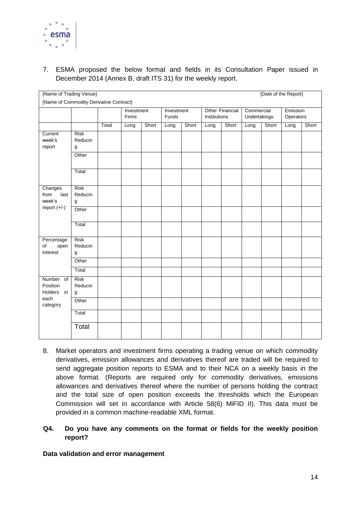

7. ESMA proposed the below format and fields in its Consultation Paper issued in December 2014 (Annex B, draft ITS 31) for the weekly report.

| {Name of Trading Venue}<br>{Date of the Report}<br>{Name of Commodity Derivative Contract} |                                      |       |                                            |       |                                        |       |                            |       |                       |       |      |       |
|--------------------------------------------------------------------------------------------|--------------------------------------|-------|--------------------------------------------|-------|----------------------------------------|-------|----------------------------|-------|-----------------------|-------|------|-------|
|                                                                                            |                                      |       | Investment<br>Investment<br>Firms<br>Funds |       | <b>Other Financial</b><br>Institutions |       | Commercial<br>Undertakings |       | Emission<br>Operators |       |      |       |
|                                                                                            |                                      | Total | Long                                       | Short | Long                                   | Short | Long                       | Short | Long                  | Short | Long | Short |
| Current<br>week's<br>report                                                                | <b>Risk</b><br>Reducin<br>g<br>Other |       |                                            |       |                                        |       |                            |       |                       |       |      |       |
|                                                                                            | Total                                |       |                                            |       |                                        |       |                            |       |                       |       |      |       |
| Changes<br>from<br>last<br>week's                                                          | <b>Risk</b><br>Reducin<br>g          |       |                                            |       |                                        |       |                            |       |                       |       |      |       |
| report $(+/-)$                                                                             | Other<br>Total                       |       |                                            |       |                                        |       |                            |       |                       |       |      |       |
|                                                                                            |                                      |       |                                            |       |                                        |       |                            |       |                       |       |      |       |
| Percentage<br>of<br>open<br>interest                                                       | Risk<br>Reducin<br>g                 |       |                                            |       |                                        |       |                            |       |                       |       |      |       |
|                                                                                            | Other                                |       |                                            |       |                                        |       |                            |       |                       |       |      |       |
|                                                                                            | Total                                |       |                                            |       |                                        |       |                            |       |                       |       |      |       |
| Number<br>of<br>Position<br>Holders<br>in                                                  | <b>Risk</b><br>Reducin<br>g          |       |                                            |       |                                        |       |                            |       |                       |       |      |       |
| each<br>category                                                                           | Other                                |       |                                            |       |                                        |       |                            |       |                       |       |      |       |
|                                                                                            | Total                                |       |                                            |       |                                        |       |                            |       |                       |       |      |       |
|                                                                                            | Total                                |       |                                            |       |                                        |       |                            |       |                       |       |      |       |

8. Market operators and investment firms operating a trading venue on which commodity derivatives, emission allowances and derivatives thereof are traded will be required to send aggregate position reports to ESMA and to their NCA on a weekly basis in the above format. (Reports are required only for commodity derivatives, emissions allowances and derivatives thereof where the number of persons holding the contract and the total size of open position exceeds the thresholds which the European Commission will set in accordance with Article 58(6) MiFID II). This data must be provided in a common machine-readable XML format.

# **Q4. Do you have any comments on the format or fields for the weekly position report?**

#### **Data validation and error management**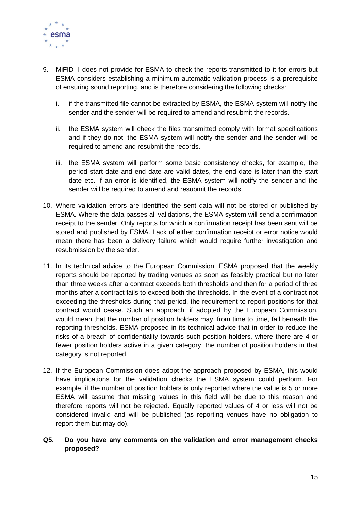

- 9. MiFID II does not provide for ESMA to check the reports transmitted to it for errors but ESMA considers establishing a minimum automatic validation process is a prerequisite of ensuring sound reporting, and is therefore considering the following checks:
	- i. if the transmitted file cannot be extracted by ESMA, the ESMA system will notify the sender and the sender will be required to amend and resubmit the records.
	- ii. the ESMA system will check the files transmitted comply with format specifications and if they do not, the ESMA system will notify the sender and the sender will be required to amend and resubmit the records.
	- iii. the ESMA system will perform some basic consistency checks, for example, the period start date and end date are valid dates, the end date is later than the start date etc. If an error is identified, the ESMA system will notify the sender and the sender will be required to amend and resubmit the records.
- 10. Where validation errors are identified the sent data will not be stored or published by ESMA. Where the data passes all validations, the ESMA system will send a confirmation receipt to the sender. Only reports for which a confirmation receipt has been sent will be stored and published by ESMA. Lack of either confirmation receipt or error notice would mean there has been a delivery failure which would require further investigation and resubmission by the sender.
- 11. In its technical advice to the European Commission, ESMA proposed that the weekly reports should be reported by trading venues as soon as feasibly practical but no later than three weeks after a contract exceeds both thresholds and then for a period of three months after a contract fails to exceed both the thresholds. In the event of a contract not exceeding the thresholds during that period, the requirement to report positions for that contract would cease. Such an approach, if adopted by the European Commission, would mean that the number of position holders may, from time to time, fall beneath the reporting thresholds. ESMA proposed in its technical advice that in order to reduce the risks of a breach of confidentiality towards such position holders, where there are 4 or fewer position holders active in a given category, the number of position holders in that category is not reported.
- 12. If the European Commission does adopt the approach proposed by ESMA, this would have implications for the validation checks the ESMA system could perform. For example, if the number of position holders is only reported where the value is 5 or more ESMA will assume that missing values in this field will be due to this reason and therefore reports will not be rejected. Equally reported values of 4 or less will not be considered invalid and will be published (as reporting venues have no obligation to report them but may do).
- **Q5. Do you have any comments on the validation and error management checks proposed?**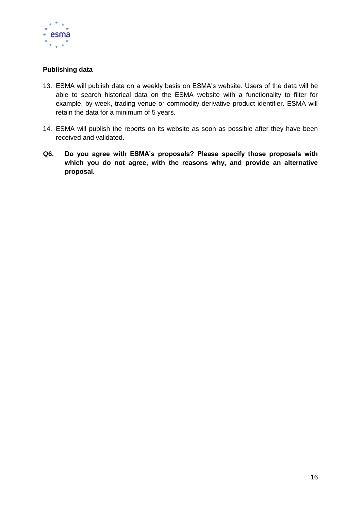

#### **Publishing data**

- 13. ESMA will publish data on a weekly basis on ESMA's website. Users of the data will be able to search historical data on the ESMA website with a functionality to filter for example, by week, trading venue or commodity derivative product identifier. ESMA will retain the data for a minimum of 5 years.
- 14. ESMA will publish the reports on its website as soon as possible after they have been received and validated.
- **Q6. Do you agree with ESMA's proposals? Please specify those proposals with which you do not agree, with the reasons why, and provide an alternative proposal.**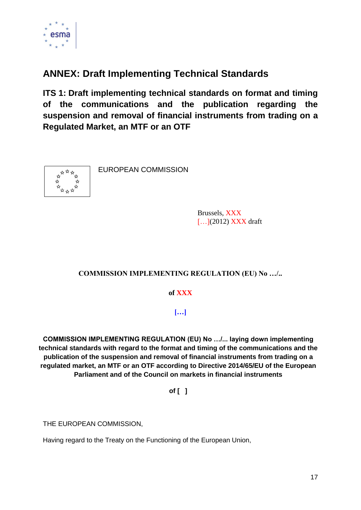

# <span id="page-16-0"></span>**ANNEX: Draft Implementing Technical Standards**

<span id="page-16-1"></span>**ITS 1: Draft implementing technical standards on format and timing of the communications and the publication regarding the suspension and removal of financial instruments from trading on a Regulated Market, an MTF or an OTF**



EUROPEAN COMMISSION

Brussels, XXX [...](2012) **XXX** draft

# **COMMISSION IMPLEMENTING REGULATION (EU) No …/..**

**of XXX**

**[…]**

**COMMISSION IMPLEMENTING REGULATION (EU) No …/... laying down implementing technical standards with regard to the format and timing of the communications and the publication of the suspension and removal of financial instruments from trading on a regulated market, an MTF or an OTF according to Directive 2014/65/EU of the European Parliament and of the Council on markets in financial instruments** 

**of [ ]** 

THE EUROPEAN COMMISSION,

Having regard to the Treaty on the Functioning of the European Union,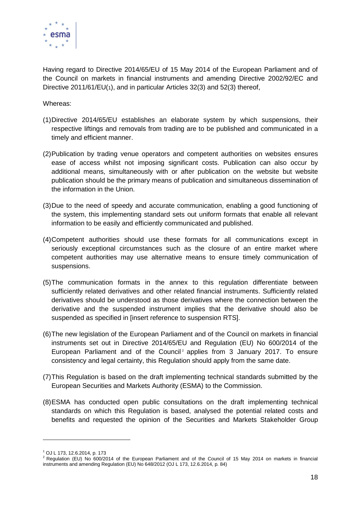

Having regard to Directive 2014/65/EU of 15 May 2014 of the European Parliament and of the Council on markets in financial instruments and amending Directive 2002/92/EC and Directive 2011/61/EU(1), and in particular Articles 32(3) and 52(3) thereof,

Whereas:

- (1)Directive 2014/65/EU establishes an elaborate system by which suspensions, their respective liftings and removals from trading are to be published and communicated in a timely and efficient manner.
- (2)Publication by trading venue operators and competent authorities on websites ensures ease of access whilst not imposing significant costs. Publication can also occur by additional means, simultaneously with or after publication on the website but website publication should be the primary means of publication and simultaneous dissemination of the information in the Union.
- (3)Due to the need of speedy and accurate communication, enabling a good functioning of the system, this implementing standard sets out uniform formats that enable all relevant information to be easily and efficiently communicated and published.
- (4)Competent authorities should use these formats for all communications except in seriously exceptional circumstances such as the closure of an entire market where competent authorities may use alternative means to ensure timely communication of suspensions.
- (5)The communication formats in the annex to this regulation differentiate between sufficiently related derivatives and other related financial instruments. Sufficiently related derivatives should be understood as those derivatives where the connection between the derivative and the suspended instrument implies that the derivative should also be suspended as specified in [insert reference to suspension RTS].
- (6)The new legislation of the European Parliament and of the Council on markets in financial instruments set out in Directive 2014/65/EU and Regulation (EU) No 600/2014 of the European Parliament and of the Council<sup>2</sup> applies from 3 January 2017. To ensure consistency and legal certainty, this Regulation should apply from the same date.
- (7)This Regulation is based on the draft implementing technical standards submitted by the European Securities and Markets Authority (ESMA) to the Commission.
- (8)ESMA has conducted open public consultations on the draft implementing technical standards on which this Regulation is based, analysed the potential related costs and benefits and requested the opinion of the Securities and Markets Stakeholder Group

-

<sup>1</sup> OJ L 173, 12.6.2014, p. 173

<sup>2</sup> Regulation (EU) No 600/2014 of the European Parliament and of the Council of 15 May 2014 on markets in financial instruments and amending Regulation (EU) No 648/2012 (OJ L 173, 12.6.2014, p. 84)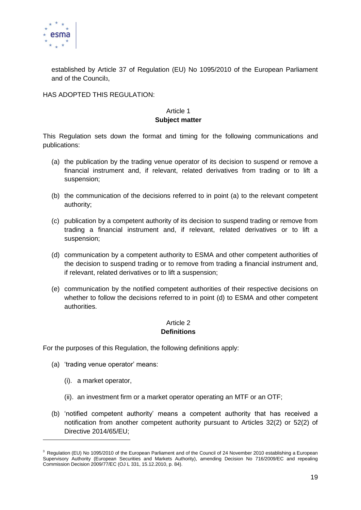

established by Article 37 of Regulation (EU) No 1095/2010 of the European Parliament and of the Council3,

HAS ADOPTED THIS REGULATION:

#### Article 1 **Subject matter**

This Regulation sets down the format and timing for the following communications and publications:

- (a) the publication by the trading venue operator of its decision to suspend or remove a financial instrument and, if relevant, related derivatives from trading or to lift a suspension;
- (b) the communication of the decisions referred to in point (a) to the relevant competent authority;
- (c) publication by a competent authority of its decision to suspend trading or remove from trading a financial instrument and, if relevant, related derivatives or to lift a suspension;
- (d) communication by a competent authority to ESMA and other competent authorities of the decision to suspend trading or to remove from trading a financial instrument and, if relevant, related derivatives or to lift a suspension;
- (e) communication by the notified competent authorities of their respective decisions on whether to follow the decisions referred to in point (d) to ESMA and other competent authorities.

# Article 2 **Definitions**

For the purposes of this Regulation, the following definitions apply:

- (a) 'trading venue operator' means:
	- (i). a market operator,

-

- (ii). an investment firm or a market operator operating an MTF or an OTF;
- (b) 'notified competent authority' means a competent authority that has received a notification from another competent authority pursuant to Articles 32(2) or 52(2) of Directive 2014/65/EU;

 $3$  Regulation (EU) No 1095/2010 of the European Parliament and of the Council of 24 November 2010 establishing a European Supervisory Authority (European Securities and Markets Authority), amending Decision No 716/2009/EC and repealing Commission Decision 2009/77/EC (OJ L 331, 15.12.2010, p. 84).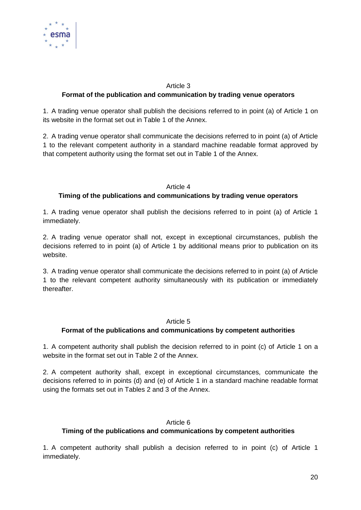

#### Article 3

# **Format of the publication and communication by trading venue operators**

1. A trading venue operator shall publish the decisions referred to in point (a) of Article 1 on its website in the format set out in Table 1 of the Annex.

2. A trading venue operator shall communicate the decisions referred to in point (a) of Article 1 to the relevant competent authority in a standard machine readable format approved by that competent authority using the format set out in Table 1 of the Annex.

#### Article 4

# **Timing of the publications and communications by trading venue operators**

1. A trading venue operator shall publish the decisions referred to in point (a) of Article 1 immediately.

2. A trading venue operator shall not, except in exceptional circumstances, publish the decisions referred to in point (a) of Article 1 by additional means prior to publication on its website.

3. A trading venue operator shall communicate the decisions referred to in point (a) of Article 1 to the relevant competent authority simultaneously with its publication or immediately thereafter.

#### Article 5

#### **Format of the publications and communications by competent authorities**

1. A competent authority shall publish the decision referred to in point (c) of Article 1 on a website in the format set out in Table 2 of the Annex.

2. A competent authority shall, except in exceptional circumstances, communicate the decisions referred to in points (d) and (e) of Article 1 in a standard machine readable format using the formats set out in Tables 2 and 3 of the Annex.

#### Article 6

# **Timing of the publications and communications by competent authorities**

1. A competent authority shall publish a decision referred to in point (c) of Article 1 immediately.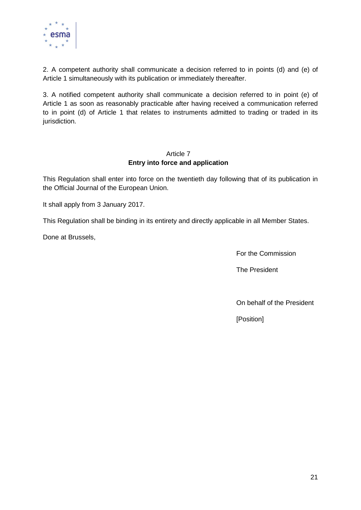

2. A competent authority shall communicate a decision referred to in points (d) and (e) of Article 1 simultaneously with its publication or immediately thereafter.

3. A notified competent authority shall communicate a decision referred to in point (e) of Article 1 as soon as reasonably practicable after having received a communication referred to in point (d) of Article 1 that relates to instruments admitted to trading or traded in its jurisdiction.

#### Article 7 **Entry into force and application**

This Regulation shall enter into force on the twentieth day following that of its publication in the Official Journal of the European Union.

It shall apply from 3 January 2017.

This Regulation shall be binding in its entirety and directly applicable in all Member States.

Done at Brussels,

For the Commission

The President

On behalf of the President

[Position]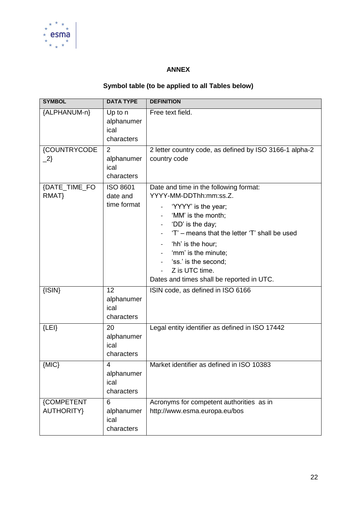

# **ANNEX**

# **Symbol table (to be applied to all Tables below)**

| <b>SYMBOL</b>                       | <b>DATA TYPE</b>                                   | <b>DEFINITION</b>                                                                                                                                                                                                                                                                                                     |
|-------------------------------------|----------------------------------------------------|-----------------------------------------------------------------------------------------------------------------------------------------------------------------------------------------------------------------------------------------------------------------------------------------------------------------------|
| {ALPHANUM-n}                        | Up to n<br>alphanumer<br>ical<br>characters        | Free text field.                                                                                                                                                                                                                                                                                                      |
| {COUNTRYCODE<br>$\langle 2 \rangle$ | $\overline{2}$<br>alphanumer<br>ical<br>characters | 2 letter country code, as defined by ISO 3166-1 alpha-2<br>country code                                                                                                                                                                                                                                               |
| {DATE_TIME_FO<br>$RMAT$ }           | <b>ISO 8601</b><br>date and<br>time format         | Date and time in the following format:<br>YYYY-MM-DDThh:mm:ss.Z.<br>'YYYY' is the year;<br>'MM' is the month;<br>'DD' is the day;<br>'T' - means that the letter 'T' shall be used<br>'hh' is the hour;<br>'mm' is the minute;<br>'ss.' is the second;<br>Z is UTC time.<br>Dates and times shall be reported in UTC. |
| $\{ISIN\}$                          | 12<br>alphanumer<br>ical<br>characters             | ISIN code, as defined in ISO 6166                                                                                                                                                                                                                                                                                     |
| ${LEI}$                             | 20<br>alphanumer<br>ical<br>characters             | Legal entity identifier as defined in ISO 17442                                                                                                                                                                                                                                                                       |
| ${MIC}$                             | 4<br>alphanumer<br>ical<br>characters              | Market identifier as defined in ISO 10383                                                                                                                                                                                                                                                                             |
| {COMPETENT<br><b>AUTHORITY}</b>     | 6<br>alphanumer<br>ical<br>characters              | Acronyms for competent authorities as in<br>http://www.esma.europa.eu/bos                                                                                                                                                                                                                                             |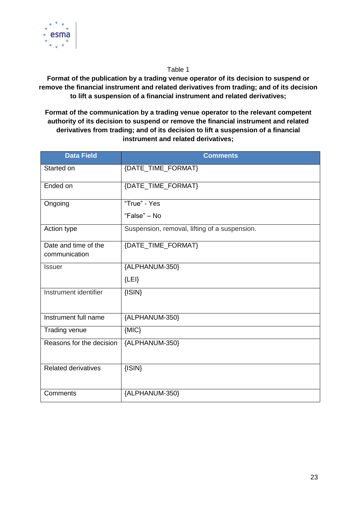

Table 1

**Format of the publication by a trading venue operator of its decision to suspend or remove the financial instrument and related derivatives from trading; and of its decision to lift a suspension of a financial instrument and related derivatives;** 

**Format of the communication by a trading venue operator to the relevant competent authority of its decision to suspend or remove the financial instrument and related derivatives from trading; and of its decision to lift a suspension of a financial instrument and related derivatives;**

| <b>Data Field</b>                     | <b>Comments</b>                               |
|---------------------------------------|-----------------------------------------------|
| Started on                            | {DATE_TIME_FORMAT}                            |
| Ended on                              | {DATE_TIME_FORMAT}                            |
| Ongoing                               | "True" - Yes                                  |
|                                       | "False" - No                                  |
| Action type                           | Suspension, removal, lifting of a suspension. |
| Date and time of the<br>communication | {DATE_TIME_FORMAT}                            |
| <b>Issuer</b>                         | {ALPHANUM-350}                                |
|                                       | ${LEI}$                                       |
| Instrument identifier                 | $\{ISIN\}$                                    |
| Instrument full name                  | {ALPHANUM-350}                                |
| Trading venue                         | ${MIC}$                                       |
| Reasons for the decision              | {ALPHANUM-350}                                |
| <b>Related derivatives</b>            | ${ISIN}$                                      |
| Comments                              | {ALPHANUM-350}                                |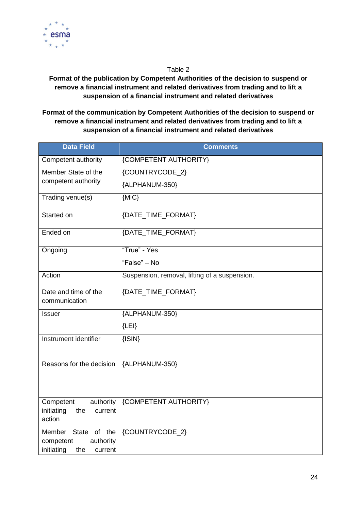

Table 2

# **Format of the publication by Competent Authorities of the decision to suspend or remove a financial instrument and related derivatives from trading and to lift a suspension of a financial instrument and related derivatives**

# **Format of the communication by Competent Authorities of the decision to suspend or remove a financial instrument and related derivatives from trading and to lift a suspension of a financial instrument and related derivatives**

| <b>Data Field</b>                                      | <b>Comments</b>                               |  |  |  |  |  |
|--------------------------------------------------------|-----------------------------------------------|--|--|--|--|--|
| Competent authority                                    | {COMPETENT AUTHORITY}                         |  |  |  |  |  |
| Member State of the                                    | {COUNTRYCODE_2}                               |  |  |  |  |  |
| competent authority                                    | {ALPHANUM-350}                                |  |  |  |  |  |
| Trading venue(s)                                       | ${MC}$                                        |  |  |  |  |  |
| Started on                                             | {DATE_TIME_FORMAT}                            |  |  |  |  |  |
| Ended on                                               | {DATE_TIME_FORMAT}                            |  |  |  |  |  |
| Ongoing                                                | "True" - Yes                                  |  |  |  |  |  |
|                                                        | "False" - No                                  |  |  |  |  |  |
| Action                                                 | Suspension, removal, lifting of a suspension. |  |  |  |  |  |
| Date and time of the                                   | {DATE_TIME_FORMAT}                            |  |  |  |  |  |
| communication                                          |                                               |  |  |  |  |  |
| <b>Issuer</b>                                          | {ALPHANUM-350}                                |  |  |  |  |  |
|                                                        | ${LEI}$                                       |  |  |  |  |  |
| Instrument identifier                                  | $\{ISIN\}$                                    |  |  |  |  |  |
|                                                        |                                               |  |  |  |  |  |
| Reasons for the decision                               | {ALPHANUM-350}                                |  |  |  |  |  |
|                                                        |                                               |  |  |  |  |  |
|                                                        |                                               |  |  |  |  |  |
| Competent<br>authority                                 | {COMPETENT AUTHORITY}                         |  |  |  |  |  |
| initiating<br>the<br>current<br>action                 |                                               |  |  |  |  |  |
| of the<br>Member State                                 | {COUNTRYCODE_2}                               |  |  |  |  |  |
| authority<br>competent<br>initiating<br>the<br>current |                                               |  |  |  |  |  |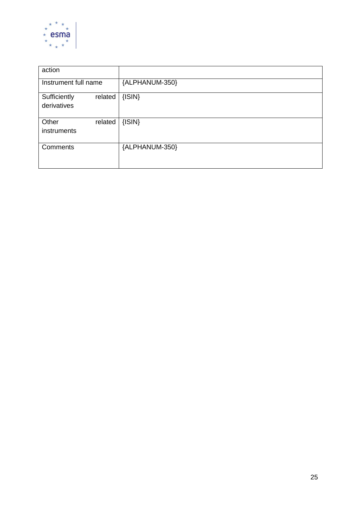

| action                      |         |                |
|-----------------------------|---------|----------------|
| Instrument full name        |         | {ALPHANUM-350} |
| Sufficiently<br>derivatives | related | $\{ISIN\}$     |
| Other<br>instruments        | related | $\{ISIN\}$     |
| Comments                    |         | {ALPHANUM-350} |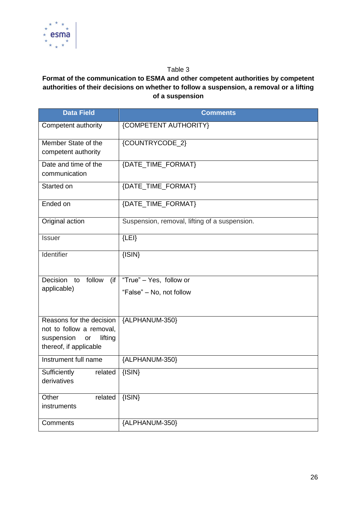

Table 3

# **Format of the communication to ESMA and other competent authorities by competent authorities of their decisions on whether to follow a suspension, a removal or a lifting of a suspension**

| <b>Data Field</b>                                                                                             | <b>Comments</b>                               |
|---------------------------------------------------------------------------------------------------------------|-----------------------------------------------|
| Competent authority                                                                                           | {COMPETENT AUTHORITY}                         |
| Member State of the<br>competent authority                                                                    | {COUNTRYCODE_2}                               |
| Date and time of the<br>communication                                                                         | {DATE_TIME_FORMAT}                            |
| Started on                                                                                                    | {DATE_TIME_FORMAT}                            |
| Ended on                                                                                                      | {DATE_TIME_FORMAT}                            |
| Original action                                                                                               | Suspension, removal, lifting of a suspension. |
| <b>Issuer</b>                                                                                                 | ${LEI}$                                       |
| Identifier                                                                                                    | $\{ISIN\}$                                    |
| follow<br>Decision<br>to<br>(if                                                                               | "True" - Yes, follow or                       |
| applicable)                                                                                                   | "False" - No, not follow                      |
| Reasons for the decision<br>not to follow a removal,<br>lifting<br>suspension<br>or<br>thereof, if applicable | {ALPHANUM-350}                                |
| Instrument full name                                                                                          | {ALPHANUM-350}                                |
| Sufficiently<br>related<br>derivatives                                                                        | $\{ISIN\}$                                    |
| related<br>Other<br>instruments                                                                               | $\{ISIN\}$                                    |
| Comments                                                                                                      | {ALPHANUM-350}                                |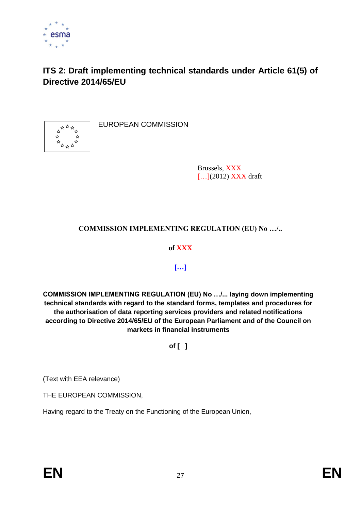

# <span id="page-26-0"></span>**ITS 2: Draft implementing technical standards under Article 61(5) of Directive 2014/65/EU**



EUROPEAN COMMISSION

Brussels, XXX [...](2012) **XXX** draft

# **COMMISSION IMPLEMENTING REGULATION (EU) No …/..**

# **of XXX**

# **[…]**

**COMMISSION IMPLEMENTING REGULATION (EU) No …/... laying down implementing technical standards with regard to the standard forms, templates and procedures for the authorisation of data reporting services providers and related notifications according to Directive 2014/65/EU of the European Parliament and of the Council on markets in financial instruments**

**of [ ]** 

(Text with EEA relevance)

THE EUROPEAN COMMISSION,

Having regard to the Treaty on the Functioning of the European Union,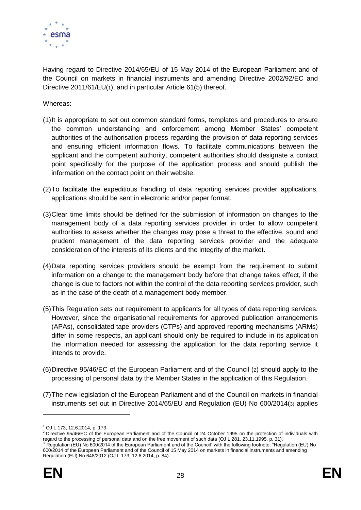

Having regard to Directive 2014/65/EU of 15 May 2014 of the European Parliament and of the Council on markets in financial instruments and amending Directive 2002/92/EC and Directive 2011/61/EU(1), and in particular Article 61(5) thereof.

Whereas:

- (1)It is appropriate to set out common standard forms, templates and procedures to ensure the common understanding and enforcement among Member States' competent authorities of the authorisation process regarding the provision of data reporting services and ensuring efficient information flows. To facilitate communications between the applicant and the competent authority, competent authorities should designate a contact point specifically for the purpose of the application process and should publish the information on the contact point on their website.
- (2)To facilitate the expeditious handling of data reporting services provider applications, applications should be sent in electronic and/or paper format.
- (3)Clear time limits should be defined for the submission of information on changes to the management body of a data reporting services provider in order to allow competent authorities to assess whether the changes may pose a threat to the effective, sound and prudent management of the data reporting services provider and the adequate consideration of the interests of its clients and the integrity of the market.
- (4)Data reporting services providers should be exempt from the requirement to submit information on a change to the management body before that change takes effect, if the change is due to factors not within the control of the data reporting services provider, such as in the case of the death of a management body member.
- (5)This Regulation sets out requirement to applicants for all types of data reporting services. However, since the organisational requirements for approved publication arrangements (APAs), consolidated tape providers (CTPs) and approved reporting mechanisms (ARMs) differ in some respects, an applicant should only be required to include in its application the information needed for assessing the application for the data reporting service it intends to provide.
- (6)Directive 95/46/EC of the European Parliament and of the Council (2) should apply to the processing of personal data by the Member States in the application of this Regulation.
- (7)The new legislation of the European Parliament and of the Council on markets in financial instruments set out in Directive 2014/65/EU and Regulation (EU) No 600/2014(3) applies

1

<sup>1</sup> OJ L 173, 12.6.2014, p. 173

<sup>2</sup> Directive 95/46/EC of the European Parliament and of the Council of 24 October 1995 on the protection of individuals with regard to the processing of personal data and on the free movement of such data (OJ L 281, 23.11.1995, p. 31).<br><sup>3</sup> Regulation (EU) No 600/2014 of the European Parliament and of the Council" with the following footnote: "Re

<sup>600/2014</sup> of the European Parliament and of the Council of 15 May 2014 on markets in financial instruments and amending Regulation (EU) No 648/2012 (OJ L 173, 12.6.2014, p. 84).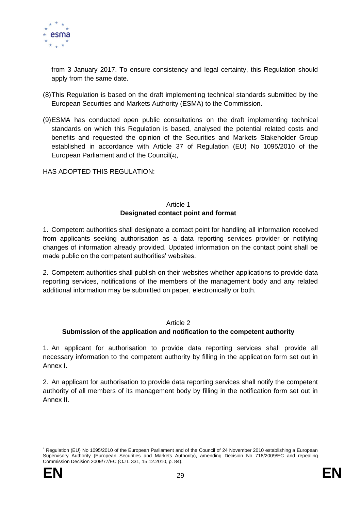

from 3 January 2017. To ensure consistency and legal certainty, this Regulation should apply from the same date.

- (8)This Regulation is based on the draft implementing technical standards submitted by the European Securities and Markets Authority (ESMA) to the Commission.
- (9)ESMA has conducted open public consultations on the draft implementing technical standards on which this Regulation is based, analysed the potential related costs and benefits and requested the opinion of the Securities and Markets Stakeholder Group established in accordance with Article 37 of Regulation (EU) No 1095/2010 of the European Parliament and of the Council(4),

HAS ADOPTED THIS REGULATION:

# Article 1 **Designated contact point and format**

1. Competent authorities shall designate a contact point for handling all information received from applicants seeking authorisation as a data reporting services provider or notifying changes of information already provided. Updated information on the contact point shall be made public on the competent authorities' websites.

2. Competent authorities shall publish on their websites whether applications to provide data reporting services, notifications of the members of the management body and any related additional information may be submitted on paper, electronically or both.

# Article 2

# **Submission of the application and notification to the competent authority**

1. An applicant for authorisation to provide data reporting services shall provide all necessary information to the competent authority by filling in the application form set out in Annex I.

2. An applicant for authorisation to provide data reporting services shall notify the competent authority of all members of its management body by filling in the notification form set out in Annex II.

1

<sup>4</sup> Regulation (EU) No 1095/2010 of the European Parliament and of the Council of 24 November 2010 establishing a European Supervisory Authority (European Securities and Markets Authority), amending Decision No 716/2009/EC and repealing Commission Decision 2009/77/EC (OJ L 331, 15.12.2010, p. 84).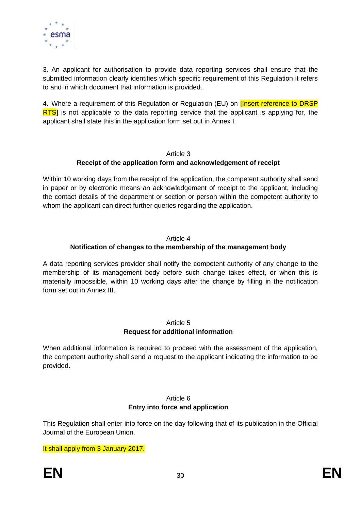

3. An applicant for authorisation to provide data reporting services shall ensure that the submitted information clearly identifies which specific requirement of this Regulation it refers to and in which document that information is provided.

4. Where a requirement of this Regulation or Regulation (EU) on **[Insert reference to DRSP** RTS is not applicable to the data reporting service that the applicant is applying for, the applicant shall state this in the application form set out in Annex I.

# Article 3 **Receipt of the application form and acknowledgement of receipt**

Within 10 working days from the receipt of the application, the competent authority shall send in paper or by electronic means an acknowledgement of receipt to the applicant, including the contact details of the department or section or person within the competent authority to whom the applicant can direct further queries regarding the application.

# Article 4 **Notification of changes to the membership of the management body**

A data reporting services provider shall notify the competent authority of any change to the membership of its management body before such change takes effect, or when this is materially impossible, within 10 working days after the change by filling in the notification form set out in Annex III.

# Article 5 **Request for additional information**

When additional information is required to proceed with the assessment of the application, the competent authority shall send a request to the applicant indicating the information to be provided.

# Article 6 **Entry into force and application**

This Regulation shall enter into force on the day following that of its publication in the Official Journal of the European Union.

It shall apply from 3 January 2017.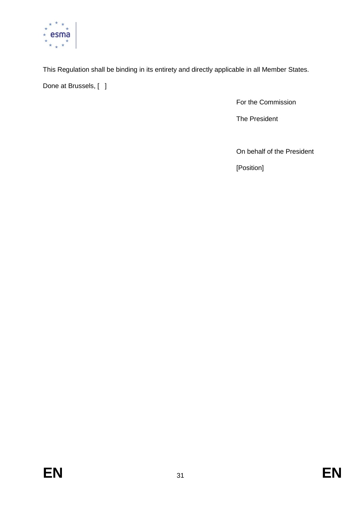

This Regulation shall be binding in its entirety and directly applicable in all Member States.

Done at Brussels, [ ]

For the Commission

The President

On behalf of the President

[Position]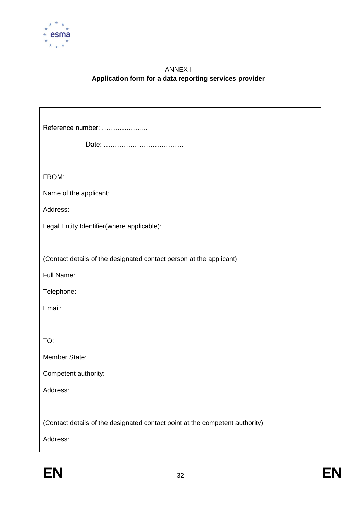

# ANNEX I **Application form for a data reporting services provider**

| Reference number:                                                            |
|------------------------------------------------------------------------------|
|                                                                              |
|                                                                              |
|                                                                              |
| FROM:                                                                        |
| Name of the applicant:                                                       |
| Address:                                                                     |
| Legal Entity Identifier(where applicable):                                   |
|                                                                              |
| (Contact details of the designated contact person at the applicant)          |
| Full Name:                                                                   |
| Telephone:                                                                   |
| Email:                                                                       |
|                                                                              |
| TO:                                                                          |
| Member State:                                                                |
| Competent authority:                                                         |
| Address:                                                                     |
|                                                                              |
| (Contact details of the designated contact point at the competent authority) |
| Address:                                                                     |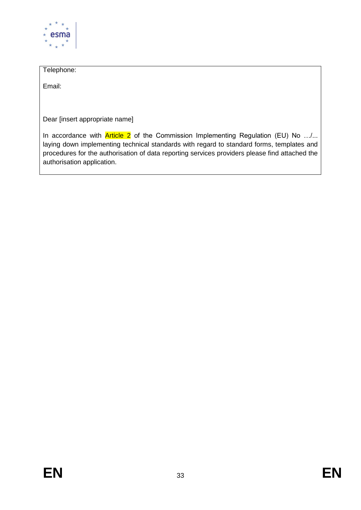

| Telephone: |  |  |  |
|------------|--|--|--|
|            |  |  |  |

Email:

Dear [insert appropriate name]

In accordance with **Article 2** of the Commission Implementing Regulation (EU) No .../... laying down implementing technical standards with regard to standard forms, templates and procedures for the authorisation of data reporting services providers please find attached the authorisation application.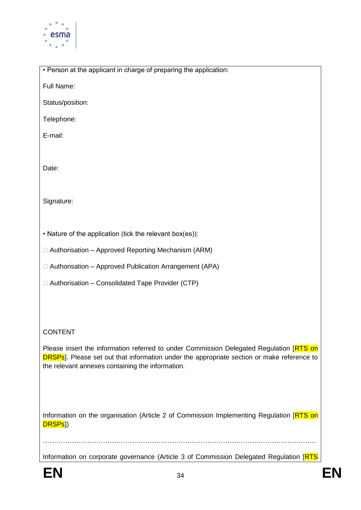

|  | • Person at the applicant in charge of preparing the application: |  |
|--|-------------------------------------------------------------------|--|
|--|-------------------------------------------------------------------|--|

Full Name:

Status/position:

Telephone:

E-mail:

Date:

Signature:

• Nature of the application (tick the relevant box(es)):

 $\Box$  Authorisation – Approved Reporting Mechanism (ARM)

 $\Box$  Authorisation – Approved Publication Arrangement (APA)

 $\Box$  Authorisation – Consolidated Tape Provider (CTP)

CONTENT

Please insert the information referred to under Commission Delegated Regulation [RTS on **DRSPs**]. Please set out that information under the appropriate section or make reference to the relevant annexes containing the information.

Information on the organisation (Article 2 of Commission Implementing Regulation [RTS on DRSPs])

……………………………………………………………………………………………………………

Information on corporate governance (Article 3 of Commission Delegated Regulation [RTS]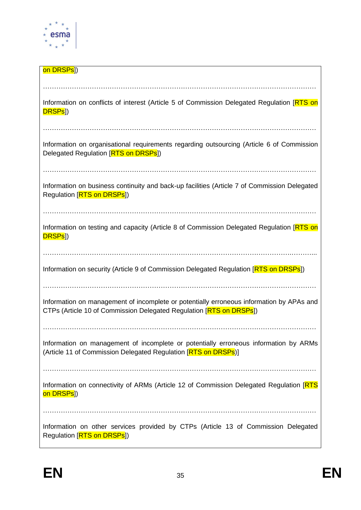

| on DRSPs])                                                                                                                                                      |
|-----------------------------------------------------------------------------------------------------------------------------------------------------------------|
| Information on conflicts of interest (Article 5 of Commission Delegated Regulation [RTS on<br>DRSPs <sup>1</sup>                                                |
| Information on organisational requirements regarding outsourcing (Article 6 of Commission<br>Delegated Regulation [RTS on DRSPs])                               |
| Information on business continuity and back-up facilities (Article 7 of Commission Delegated<br>Regulation [RTS on DRSPs])                                      |
| Information on testing and capacity (Article 8 of Commission Delegated Regulation [RTS on<br>DRSPs])                                                            |
| Information on security (Article 9 of Commission Delegated Regulation [RTS on DRSPs])                                                                           |
| Information on management of incomplete or potentially erroneous information by APAs and<br>CTPs (Article 10 of Commission Delegated Regulation [RTS on DRSPs]) |
| Information on management of incomplete or potentially erroneous information by ARMs<br>(Article 11 of Commission Delegated Regulation [RTS on DRSPs)]          |
| Information on connectivity of ARMs (Article 12 of Commission Delegated Regulation [RTS<br>on DRSPs])                                                           |
| Information on other services provided by CTPs (Article 13 of Commission Delegated<br>Regulation [RTS on DRSPs])                                                |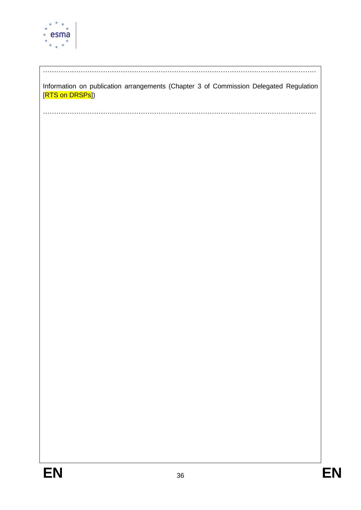

# ……………………………………………………………………………………………………………

Information on publication arrangements (Chapter 3 of Commission Delegated Regulation [RTS on DRSPs])

……………………………………………………………………………………………………………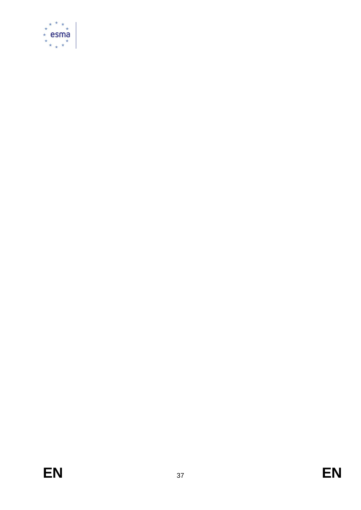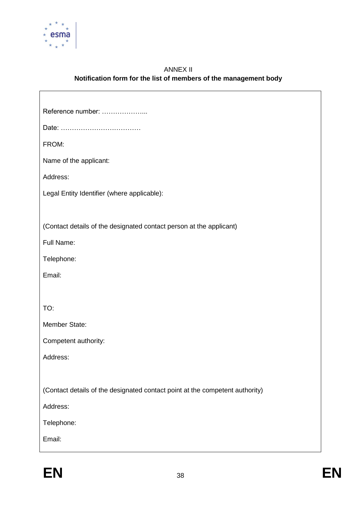

# ANNEX II **Notification form for the list of members of the management body**

| Reference number:                                                            |
|------------------------------------------------------------------------------|
|                                                                              |
| FROM:                                                                        |
| Name of the applicant:                                                       |
| Address:                                                                     |
| Legal Entity Identifier (where applicable):                                  |
|                                                                              |
| (Contact details of the designated contact person at the applicant)          |
| Full Name:                                                                   |
| Telephone:                                                                   |
| Email:                                                                       |
|                                                                              |
| TO:                                                                          |
| Member State:                                                                |
| Competent authority:                                                         |
| Address:                                                                     |
|                                                                              |
| (Contact details of the designated contact point at the competent authority) |
| Address:                                                                     |
| Telephone:                                                                   |
| Email:                                                                       |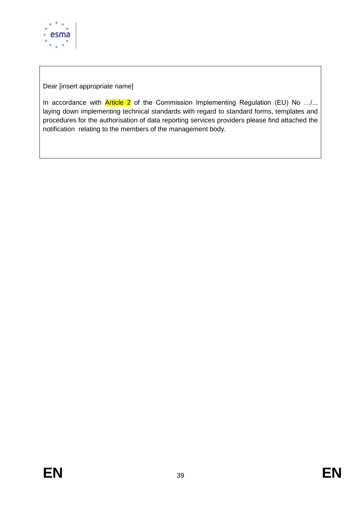

Dear [insert appropriate name]

In accordance with **Article 2** of the Commission Implementing Regulation (EU) No .../... laying down implementing technical standards with regard to standard forms, templates and procedures for the authorisation of data reporting services providers please find attached the notification relating to the members of the management body.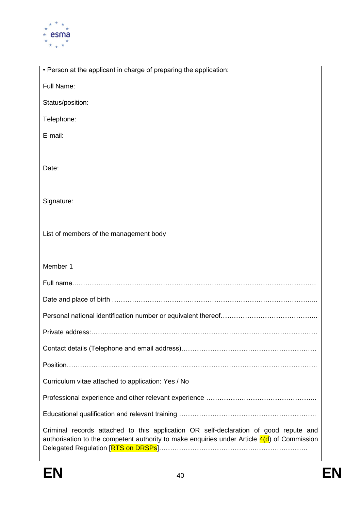

| • Person at the applicant in charge of preparing the application:                                                                                                                     |
|---------------------------------------------------------------------------------------------------------------------------------------------------------------------------------------|
| Full Name:                                                                                                                                                                            |
| Status/position:                                                                                                                                                                      |
| Telephone:                                                                                                                                                                            |
| E-mail:                                                                                                                                                                               |
|                                                                                                                                                                                       |
| Date:                                                                                                                                                                                 |
|                                                                                                                                                                                       |
| Signature:                                                                                                                                                                            |
|                                                                                                                                                                                       |
| List of members of the management body                                                                                                                                                |
|                                                                                                                                                                                       |
| Member 1                                                                                                                                                                              |
|                                                                                                                                                                                       |
|                                                                                                                                                                                       |
|                                                                                                                                                                                       |
|                                                                                                                                                                                       |
|                                                                                                                                                                                       |
|                                                                                                                                                                                       |
| Curriculum vitae attached to application: Yes / No                                                                                                                                    |
|                                                                                                                                                                                       |
|                                                                                                                                                                                       |
|                                                                                                                                                                                       |
| Criminal records attached to this application OR self-declaration of good repute and<br>authorisation to the competent authority to make enquiries under Article $4(d)$ of Commission |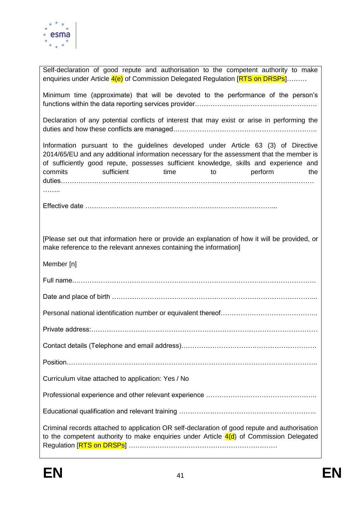

| Self-declaration of good repute and authorisation to the competent authority to make                                                                                                                                                                                                                                                                                                                                                                                 |  |  |  |  |  |
|----------------------------------------------------------------------------------------------------------------------------------------------------------------------------------------------------------------------------------------------------------------------------------------------------------------------------------------------------------------------------------------------------------------------------------------------------------------------|--|--|--|--|--|
| enquiries under Article 4(e) of Commission Delegated Regulation [RTS on DRSPs]                                                                                                                                                                                                                                                                                                                                                                                       |  |  |  |  |  |
|                                                                                                                                                                                                                                                                                                                                                                                                                                                                      |  |  |  |  |  |
| Minimum time (approximate) that will be devoted to the performance of the person's                                                                                                                                                                                                                                                                                                                                                                                   |  |  |  |  |  |
|                                                                                                                                                                                                                                                                                                                                                                                                                                                                      |  |  |  |  |  |
| Declaration of any potential conflicts of interest that may exist or arise in performing the                                                                                                                                                                                                                                                                                                                                                                         |  |  |  |  |  |
|                                                                                                                                                                                                                                                                                                                                                                                                                                                                      |  |  |  |  |  |
| Information pursuant to the guidelines developed under Article 63 (3) of Directive<br>2014/65/EU and any additional information necessary for the assessment that the member is<br>of sufficiently good repute, possesses sufficient knowledge, skills and experience and<br>sufficient<br><b>Example 10</b> and time<br>perform<br>commits<br>to the state of the state of the state of the state of the state of the state of the state of the state of the<br>the |  |  |  |  |  |
|                                                                                                                                                                                                                                                                                                                                                                                                                                                                      |  |  |  |  |  |
| .                                                                                                                                                                                                                                                                                                                                                                                                                                                                    |  |  |  |  |  |
|                                                                                                                                                                                                                                                                                                                                                                                                                                                                      |  |  |  |  |  |
|                                                                                                                                                                                                                                                                                                                                                                                                                                                                      |  |  |  |  |  |
| [Please set out that information here or provide an explanation of how it will be provided, or<br>make reference to the relevant annexes containing the information]                                                                                                                                                                                                                                                                                                 |  |  |  |  |  |
| Member [n]                                                                                                                                                                                                                                                                                                                                                                                                                                                           |  |  |  |  |  |
|                                                                                                                                                                                                                                                                                                                                                                                                                                                                      |  |  |  |  |  |
|                                                                                                                                                                                                                                                                                                                                                                                                                                                                      |  |  |  |  |  |
|                                                                                                                                                                                                                                                                                                                                                                                                                                                                      |  |  |  |  |  |
|                                                                                                                                                                                                                                                                                                                                                                                                                                                                      |  |  |  |  |  |
|                                                                                                                                                                                                                                                                                                                                                                                                                                                                      |  |  |  |  |  |
|                                                                                                                                                                                                                                                                                                                                                                                                                                                                      |  |  |  |  |  |
| Curriculum vitae attached to application: Yes / No                                                                                                                                                                                                                                                                                                                                                                                                                   |  |  |  |  |  |
|                                                                                                                                                                                                                                                                                                                                                                                                                                                                      |  |  |  |  |  |
|                                                                                                                                                                                                                                                                                                                                                                                                                                                                      |  |  |  |  |  |
| Criminal records attached to application OR self-declaration of good repute and authorisation<br>to the competent authority to make enquiries under Article $4(d)$ of Commission Delegated                                                                                                                                                                                                                                                                           |  |  |  |  |  |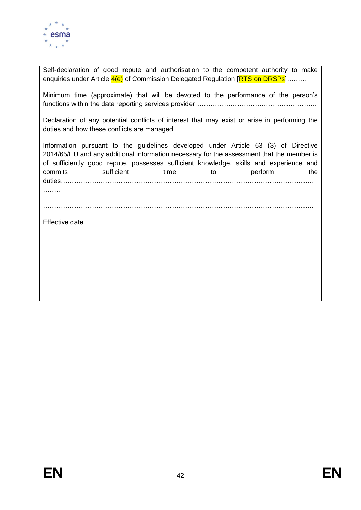

Self-declaration of good repute and authorisation to the competent authority to make enquiries under Article 4(e) of Commission Delegated Regulation [RTS on DRSPs]........

Minimum time (approximate) that will be devoted to the performance of the person's functions within the data reporting services provider………………………………………………………………………

Declaration of any potential conflicts of interest that may exist or arise in performing the duties and how these conflicts are managed………………………………………………………..

Information pursuant to the guidelines developed under Article 63 (3) of Directive 2014/65/EU and any additional information necessary for the assessment that the member is of sufficiently good repute, possesses sufficient knowledge, skills and experience and commits sufficient time to perform the duties…………………………………………………………………………………………………… ………

…………………………………………………………………………………………………………..

Effective date …………………………………………………………………………...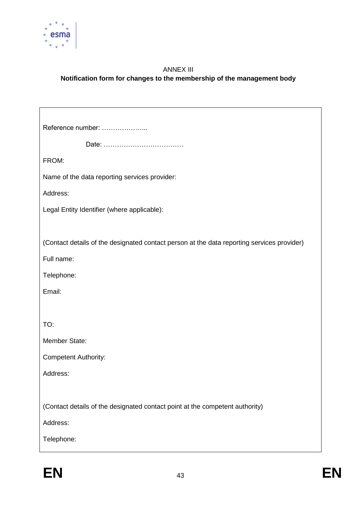

# ANNEX III **Notification form for changes to the membership of the management body**

| Reference number:                                                                          |
|--------------------------------------------------------------------------------------------|
|                                                                                            |
| FROM:                                                                                      |
| Name of the data reporting services provider:                                              |
| Address:                                                                                   |
| Legal Entity Identifier (where applicable):                                                |
|                                                                                            |
| (Contact details of the designated contact person at the data reporting services provider) |
| Full name:                                                                                 |
| Telephone:                                                                                 |
| Email:                                                                                     |
|                                                                                            |
| TO:                                                                                        |
| Member State:                                                                              |
| <b>Competent Authority:</b>                                                                |
| Address:                                                                                   |
|                                                                                            |
| (Contact details of the designated contact point at the competent authority)               |
| Address:                                                                                   |
| Telephone:                                                                                 |
|                                                                                            |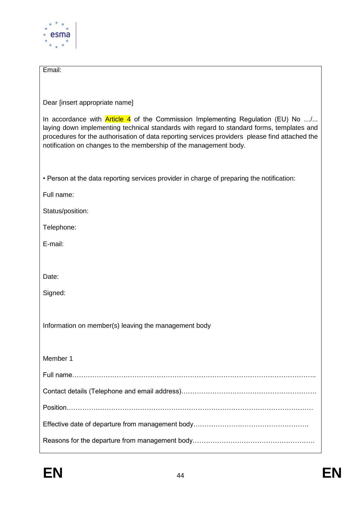

| Email:                                                                                                                                                                                                                                                                                                                                               |
|------------------------------------------------------------------------------------------------------------------------------------------------------------------------------------------------------------------------------------------------------------------------------------------------------------------------------------------------------|
|                                                                                                                                                                                                                                                                                                                                                      |
| Dear [insert appropriate name]                                                                                                                                                                                                                                                                                                                       |
| In accordance with Article 4 of the Commission Implementing Regulation (EU) No /<br>laying down implementing technical standards with regard to standard forms, templates and<br>procedures for the authorisation of data reporting services providers please find attached the<br>notification on changes to the membership of the management body. |
| . Person at the data reporting services provider in charge of preparing the notification:                                                                                                                                                                                                                                                            |
| Full name:                                                                                                                                                                                                                                                                                                                                           |
| Status/position:                                                                                                                                                                                                                                                                                                                                     |
| Telephone:                                                                                                                                                                                                                                                                                                                                           |
| E-mail:                                                                                                                                                                                                                                                                                                                                              |
|                                                                                                                                                                                                                                                                                                                                                      |
| Date:                                                                                                                                                                                                                                                                                                                                                |
| Signed:                                                                                                                                                                                                                                                                                                                                              |
|                                                                                                                                                                                                                                                                                                                                                      |
| Information on member(s) leaving the management body                                                                                                                                                                                                                                                                                                 |
|                                                                                                                                                                                                                                                                                                                                                      |
| Member 1                                                                                                                                                                                                                                                                                                                                             |
|                                                                                                                                                                                                                                                                                                                                                      |
|                                                                                                                                                                                                                                                                                                                                                      |
|                                                                                                                                                                                                                                                                                                                                                      |
|                                                                                                                                                                                                                                                                                                                                                      |
|                                                                                                                                                                                                                                                                                                                                                      |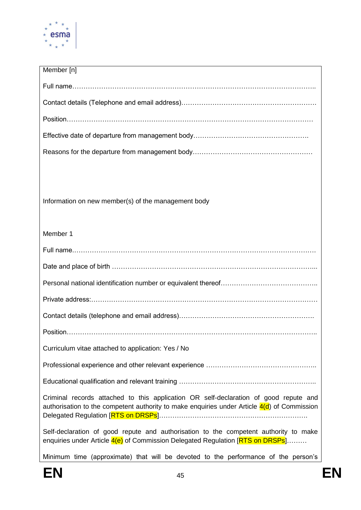

| Member [n]                                                                                                                                                                          |
|-------------------------------------------------------------------------------------------------------------------------------------------------------------------------------------|
|                                                                                                                                                                                     |
|                                                                                                                                                                                     |
|                                                                                                                                                                                     |
|                                                                                                                                                                                     |
|                                                                                                                                                                                     |
|                                                                                                                                                                                     |
|                                                                                                                                                                                     |
| Information on new member(s) of the management body                                                                                                                                 |
|                                                                                                                                                                                     |
| Member 1                                                                                                                                                                            |
|                                                                                                                                                                                     |
|                                                                                                                                                                                     |
|                                                                                                                                                                                     |
|                                                                                                                                                                                     |
|                                                                                                                                                                                     |
|                                                                                                                                                                                     |
| Curriculum vitae attached to application: Yes / No                                                                                                                                  |
|                                                                                                                                                                                     |
|                                                                                                                                                                                     |
| Criminal records attached to this application OR self-declaration of good repute and<br>authorisation to the competent authority to make enquiries under Article 4(d) of Commission |
| Self-declaration of good repute and authorisation to the competent authority to make<br>enquiries under Article 4(e) of Commission Delegated Regulation [RTS on DRSPs]              |
| Minimum time (approximate) that will be devoted to the performance of the person's                                                                                                  |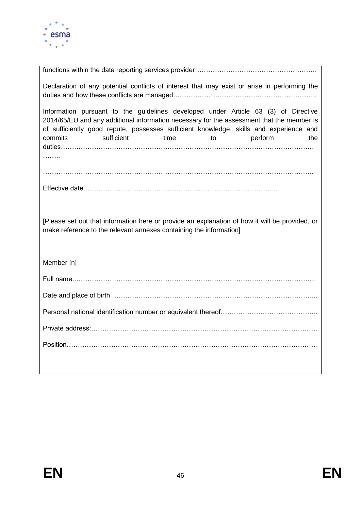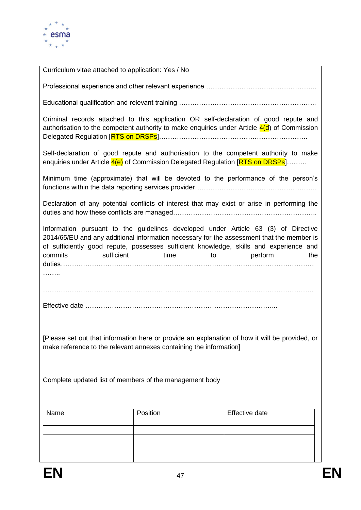

| Curriculum vitae attached to application: Yes / No                                                                                                                                                                                                                                                                                                                                                                                             |          |                       |  |  |  |  |
|------------------------------------------------------------------------------------------------------------------------------------------------------------------------------------------------------------------------------------------------------------------------------------------------------------------------------------------------------------------------------------------------------------------------------------------------|----------|-----------------------|--|--|--|--|
|                                                                                                                                                                                                                                                                                                                                                                                                                                                |          |                       |  |  |  |  |
|                                                                                                                                                                                                                                                                                                                                                                                                                                                |          |                       |  |  |  |  |
|                                                                                                                                                                                                                                                                                                                                                                                                                                                |          |                       |  |  |  |  |
| Criminal records attached to this application OR self-declaration of good repute and<br>authorisation to the competent authority to make enquiries under Article $4(d)$ of Commission                                                                                                                                                                                                                                                          |          |                       |  |  |  |  |
| Self-declaration of good repute and authorisation to the competent authority to make<br>enquiries under Article 4(e) of Commission Delegated Regulation [RTS on DRSPs]                                                                                                                                                                                                                                                                         |          |                       |  |  |  |  |
| Minimum time (approximate) that will be devoted to the performance of the person's                                                                                                                                                                                                                                                                                                                                                             |          |                       |  |  |  |  |
| Declaration of any potential conflicts of interest that may exist or arise in performing the                                                                                                                                                                                                                                                                                                                                                   |          |                       |  |  |  |  |
| Information pursuant to the guidelines developed under Article 63 (3) of Directive<br>2014/65/EU and any additional information necessary for the assessment that the member is<br>of sufficiently good repute, possesses sufficient knowledge, skills and experience and<br>sufficient<br>time<br>perform<br>commits<br>to the state of the state of the state of the state of the state of the state of the state of the state of the<br>the |          |                       |  |  |  |  |
| .                                                                                                                                                                                                                                                                                                                                                                                                                                              |          |                       |  |  |  |  |
|                                                                                                                                                                                                                                                                                                                                                                                                                                                |          |                       |  |  |  |  |
|                                                                                                                                                                                                                                                                                                                                                                                                                                                |          |                       |  |  |  |  |
| [Please set out that information here or provide an explanation of how it will be provided, or<br>make reference to the relevant annexes containing the information]                                                                                                                                                                                                                                                                           |          |                       |  |  |  |  |
| Complete updated list of members of the management body                                                                                                                                                                                                                                                                                                                                                                                        |          |                       |  |  |  |  |
|                                                                                                                                                                                                                                                                                                                                                                                                                                                |          |                       |  |  |  |  |
| Name                                                                                                                                                                                                                                                                                                                                                                                                                                           | Position | <b>Effective date</b> |  |  |  |  |
|                                                                                                                                                                                                                                                                                                                                                                                                                                                |          |                       |  |  |  |  |
|                                                                                                                                                                                                                                                                                                                                                                                                                                                |          |                       |  |  |  |  |
|                                                                                                                                                                                                                                                                                                                                                                                                                                                |          |                       |  |  |  |  |
|                                                                                                                                                                                                                                                                                                                                                                                                                                                |          |                       |  |  |  |  |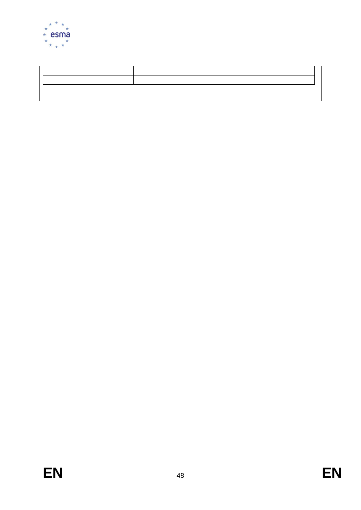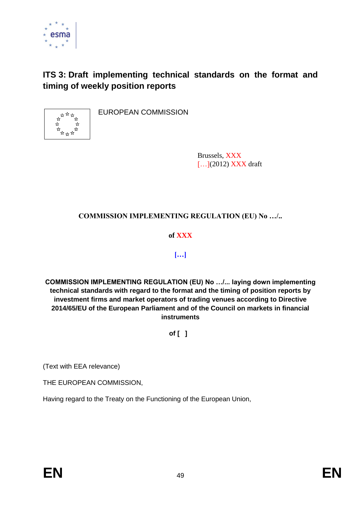

# <span id="page-48-0"></span>**ITS 3: Draft implementing technical standards on the format and timing of weekly position reports**



EUROPEAN COMMISSION

Brussels, XXX [...](2012) **XXX** draft

# **COMMISSION IMPLEMENTING REGULATION (EU) No …/..**

# **of XXX**

# **[…]**

**COMMISSION IMPLEMENTING REGULATION (EU) No …/... laying down implementing technical standards with regard to the format and the timing of position reports by investment firms and market operators of trading venues according to Directive 2014/65/EU of the European Parliament and of the Council on markets in financial instruments**

**of [ ]** 

(Text with EEA relevance)

THE EUROPEAN COMMISSION,

Having regard to the Treaty on the Functioning of the European Union,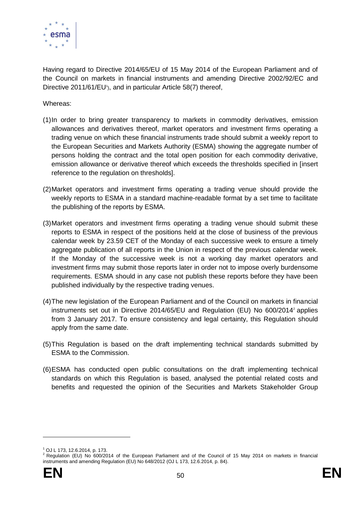

Having regard to Directive 2014/65/EU of 15 May 2014 of the European Parliament and of the Council on markets in financial instruments and amending Directive 2002/92/EC and Directive 2011/61/EU<sup>1</sup>), and in particular Article 58(7) thereof,

Whereas:

- (1)In order to bring greater transparency to markets in commodity derivatives, emission allowances and derivatives thereof, market operators and investment firms operating a trading venue on which these financial instruments trade should submit a weekly report to the European Securities and Markets Authority (ESMA) showing the aggregate number of persons holding the contract and the total open position for each commodity derivative, emission allowance or derivative thereof which exceeds the thresholds specified in [insert reference to the regulation on thresholds].
- (2)Market operators and investment firms operating a trading venue should provide the weekly reports to ESMA in a standard machine-readable format by a set time to facilitate the publishing of the reports by ESMA.
- (3)Market operators and investment firms operating a trading venue should submit these reports to ESMA in respect of the positions held at the close of business of the previous calendar week by 23.59 CET of the Monday of each successive week to ensure a timely aggregate publication of all reports in the Union in respect of the previous calendar week. If the Monday of the successive week is not a working day market operators and investment firms may submit those reports later in order not to impose overly burdensome requirements. ESMA should in any case not publish these reports before they have been published individually by the respective trading venues.
- (4)The new legislation of the European Parliament and of the Council on markets in financial instruments set out in Directive 2014/65/EU and Regulation (EU) No 600/2014<sup>2</sup> applies from 3 January 2017. To ensure consistency and legal certainty, this Regulation should apply from the same date.
- (5)This Regulation is based on the draft implementing technical standards submitted by ESMA to the Commission.
- (6)ESMA has conducted open public consultations on the draft implementing technical standards on which this Regulation is based, analysed the potential related costs and benefits and requested the opinion of the Securities and Markets Stakeholder Group

1

 $1$  OJ L 173, 12.6.2014, p. 173.

<sup>2</sup> Regulation (EU) No 600/2014 of the European Parliament and of the Council of 15 May 2014 on markets in financial instruments and amending Regulation (EU) No 648/2012 (OJ L 173, 12.6.2014, p. 84).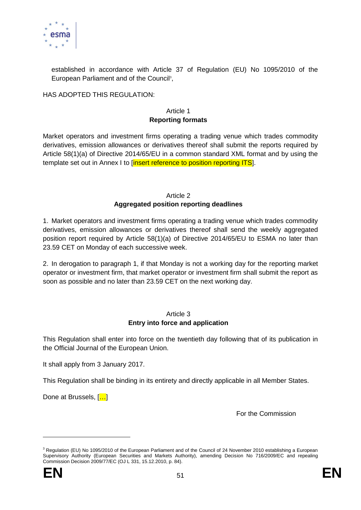

established in accordance with Article 37 of Regulation (EU) No 1095/2010 of the European Parliament and of the Council<sup>3</sup>,

HAS ADOPTED THIS REGULATION:

# Article 1 **Reporting formats**

Market operators and investment firms operating a trading venue which trades commodity derivatives, emission allowances or derivatives thereof shall submit the reports required by Article 58(1)(a) of Directive 2014/65/EU in a common standard XML format and by using the template set out in Annex I to [insert reference to position reporting ITS].

# Article 2 **Aggregated position reporting deadlines**

1. Market operators and investment firms operating a trading venue which trades commodity derivatives, emission allowances or derivatives thereof shall send the weekly aggregated position report required by Article 58(1)(a) of Directive 2014/65/EU to ESMA no later than 23.59 CET on Monday of each successive week.

2. In derogation to paragraph 1, if that Monday is not a working day for the reporting market operator or investment firm, that market operator or investment firm shall submit the report as soon as possible and no later than 23.59 CET on the next working day.

#### Article 3 **Entry into force and application**

This Regulation shall enter into force on the twentieth day following that of its publication in the Official Journal of the European Union.

It shall apply from 3 January 2017.

This Regulation shall be binding in its entirety and directly applicable in all Member States.

Done at Brussels, [...]

For the Commission

1

 $3$  Regulation (EU) No 1095/2010 of the European Parliament and of the Council of 24 November 2010 establishing a European Supervisory Authority (European Securities and Markets Authority), amending Decision No 716/2009/EC and repealing Commission Decision 2009/77/EC (OJ L 331, 15.12.2010, p. 84).